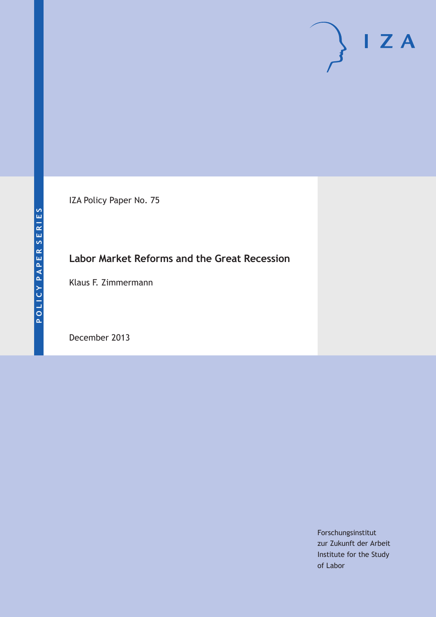IZA Policy Paper No. 75

## **Labor Market Reforms and the Great Recession**

Klaus F. Zimmermann

December 2013

Forschungsinstitut zur Zukunft der Arbeit Institute for the Study of Labor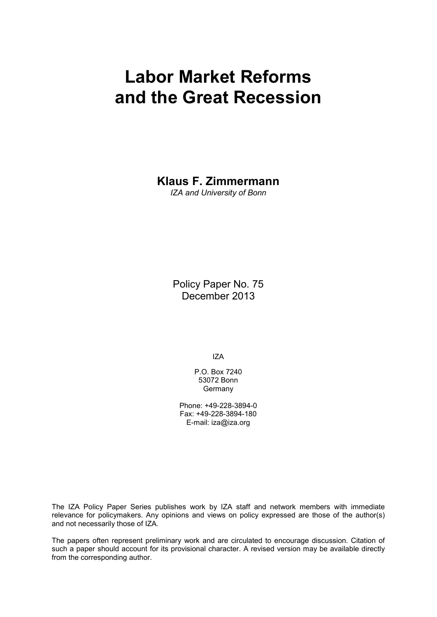# **Labor Market Reforms and the Great Recession**

**Klaus F. Zimmermann**

*IZA and University of Bonn*

Policy Paper No. 75 December 2013

IZA

P.O. Box 7240 53072 Bonn **Germany** 

Phone: +49-228-3894-0 Fax: +49-228-3894-180 E-mail: [iza@iza.org](mailto:iza@iza.org)

The IZA Policy Paper Series publishes work by IZA staff and network members with immediate relevance for policymakers. Any opinions and views on policy expressed are those of the author(s) and not necessarily those of IZA.

The papers often represent preliminary work and are circulated to encourage discussion. Citation of such a paper should account for its provisional character. A revised version may be available directly from the corresponding author.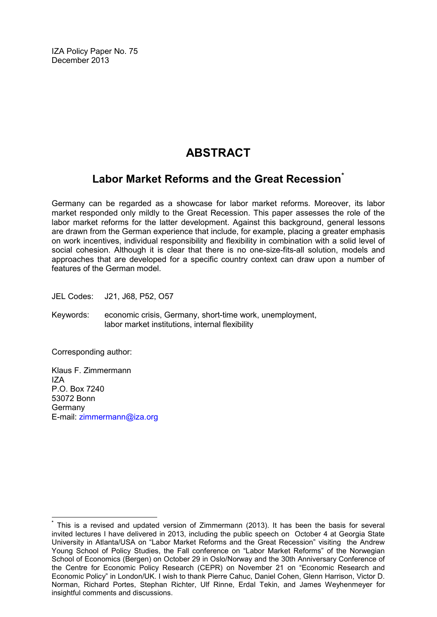IZA Policy Paper No. 75 December 2013

# **ABSTRACT**

### **Labor Market Reforms and the Great Recession[\\*](#page-2-0)**

Germany can be regarded as a showcase for labor market reforms. Moreover, its labor market responded only mildly to the Great Recession. This paper assesses the role of the labor market reforms for the latter development. Against this background, general lessons are drawn from the German experience that include, for example, placing a greater emphasis on work incentives, individual responsibility and flexibility in combination with a solid level of social cohesion. Although it is clear that there is no one-size-fits-all solution, models and approaches that are developed for a specific country context can draw upon a number of features of the German model.

JEL Codes: J21, J68, P52, O57

Keywords: economic crisis, Germany, short-time work, unemployment, labor market institutions, internal flexibility

Corresponding author:

Klaus F. Zimmermann IZA P.O. Box 7240 53072 Bonn Germany E-mail: [zimmermann@iza.org](mailto:zimmermann@iza.org)

<span id="page-2-0"></span>**\*** This is a revised and updated version of Zimmermann (2013). It has been the basis for several invited lectures I have delivered in 2013, including the public speech on October 4 at Georgia State University in Atlanta/USA on "Labor Market Reforms and the Great Recession" visiting the Andrew Young School of Policy Studies, the Fall conference on "Labor Market Reforms" of the Norwegian School of Economics (Bergen) on October 29 in Oslo/Norway and the 30th Anniversary Conference of the Centre for Economic Policy Research (CEPR) on November 21 on "Economic Research and Economic Policy" in London/UK. I wish to thank Pierre Cahuc, Daniel Cohen, Glenn Harrison, Victor D. Norman, Richard Portes, Stephan Richter, Ulf Rinne, Erdal Tekin, and James Weyhenmeyer for insightful comments and discussions.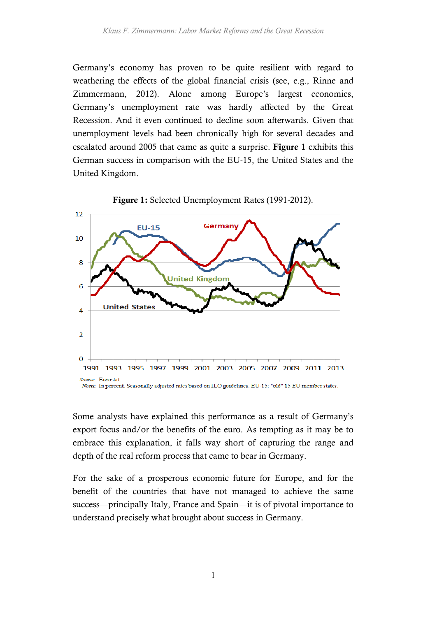Germany's economy has proven to be quite resilient with regard to weathering the effects of the global financial crisis (see, e.g., Rinne and Zimmermann, 2012). Alone among Europe's largest economies, Germany's unemployment rate was hardly affected by the Great Recession. And it even continued to decline soon afterwards. Given that unemployment levels had been chronically high for several decades and escalated around 2005 that came as quite a surprise. Figure 1 exhibits this German success in comparison with the EU-15, the United States and the United Kingdom.



Figure 1: Selected Unemployment Rates (1991-2012).

Some analysts have explained this performance as a result of Germany's export focus and/or the benefits of the euro. As tempting as it may be to embrace this explanation, it falls way short of capturing the range and depth of the real reform process that came to bear in Germany.

For the sake of a prosperous economic future for Europe, and for the benefit of the countries that have not managed to achieve the same success—principally Italy, France and Spain—it is of pivotal importance to understand precisely what brought about success in Germany.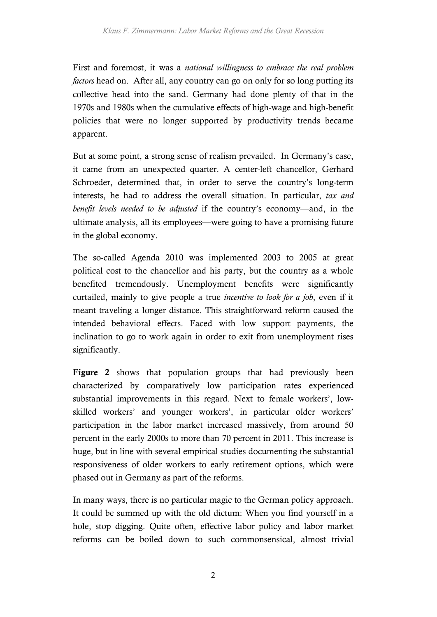First and foremost, it was a *national willingness to embrace the real problem factors* head on. After all, any country can go on only for so long putting its collective head into the sand. Germany had done plenty of that in the 1970s and 1980s when the cumulative effects of high-wage and high-benefit policies that were no longer supported by productivity trends became apparent.

But at some point, a strong sense of realism prevailed. In Germany's case, it came from an unexpected quarter. A center-left chancellor, Gerhard Schroeder, determined that, in order to serve the country's long-term interests, he had to address the overall situation. In particular, *tax and benefit levels needed to be adjusted* if the country's economy—and, in the ultimate analysis, all its employees—were going to have a promising future in the global economy.

The so-called Agenda 2010 was implemented 2003 to 2005 at great political cost to the chancellor and his party, but the country as a whole benefited tremendously. Unemployment benefits were significantly curtailed, mainly to give people a true *incentive to look for a job*, even if it meant traveling a longer distance. This straightforward reform caused the intended behavioral effects. Faced with low support payments, the inclination to go to work again in order to exit from unemployment rises significantly.

Figure 2 shows that population groups that had previously been characterized by comparatively low participation rates experienced substantial improvements in this regard. Next to female workers', lowskilled workers' and younger workers', in particular older workers' participation in the labor market increased massively, from around 50 percent in the early 2000s to more than 70 percent in 2011. This increase is huge, but in line with several empirical studies documenting the substantial responsiveness of older workers to early retirement options, which were phased out in Germany as part of the reforms.

In many ways, there is no particular magic to the German policy approach. It could be summed up with the old dictum: When you find yourself in a hole, stop digging. Quite often, effective labor policy and labor market reforms can be boiled down to such commonsensical, almost trivial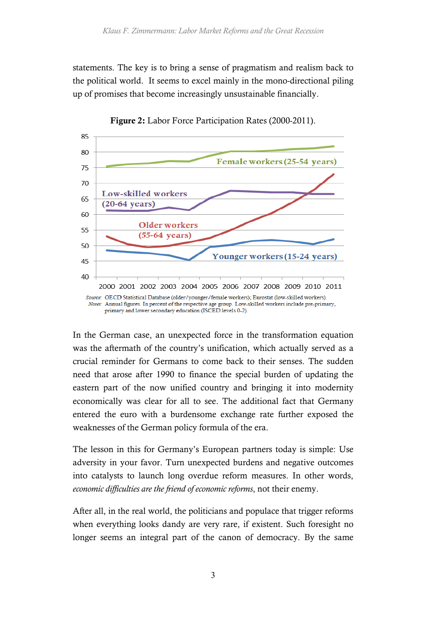statements. The key is to bring a sense of pragmatism and realism back to the political world. It seems to excel mainly in the mono-directional piling up of promises that become increasingly unsustainable financially.



Figure 2: Labor Force Participation Rates (2000-2011).

In the German case, an unexpected force in the transformation equation was the aftermath of the country's unification, which actually served as a crucial reminder for Germans to come back to their senses. The sudden need that arose after 1990 to finance the special burden of updating the eastern part of the now unified country and bringing it into modernity economically was clear for all to see. The additional fact that Germany entered the euro with a burdensome exchange rate further exposed the weaknesses of the German policy formula of the era.

The lesson in this for Germany's European partners today is simple: Use adversity in your favor. Turn unexpected burdens and negative outcomes into catalysts to launch long overdue reform measures. In other words, *economic difficulties are the friend of economic reforms*, not their enemy.

After all, in the real world, the politicians and populace that trigger reforms when everything looks dandy are very rare, if existent. Such foresight no longer seems an integral part of the canon of democracy. By the same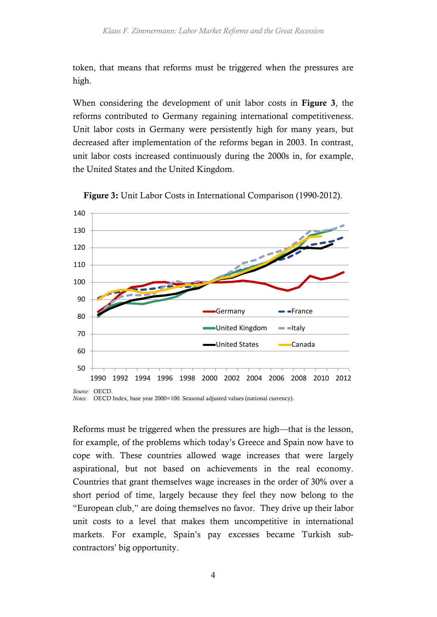token, that means that reforms must be triggered when the pressures are high.

When considering the development of unit labor costs in Figure 3, the reforms contributed to Germany regaining international competitiveness. Unit labor costs in Germany were persistently high for many years, but decreased after implementation of the reforms began in 2003. In contrast, unit labor costs increased continuously during the 2000s in, for example, the United States and the United Kingdom.



Figure 3: Unit Labor Costs in International Comparison (1990-2012).

*Notes:* OECD Index, base year 2000=100. Seasonal adjusted values (national currency).

Reforms must be triggered when the pressures are high—that is the lesson, for example, of the problems which today's Greece and Spain now have to cope with. These countries allowed wage increases that were largely aspirational, but not based on achievements in the real economy. Countries that grant themselves wage increases in the order of 30% over a short period of time, largely because they feel they now belong to the "European club," are doing themselves no favor. They drive up their labor unit costs to a level that makes them uncompetitive in international markets. For example, Spain's pay excesses became Turkish subcontractors' big opportunity.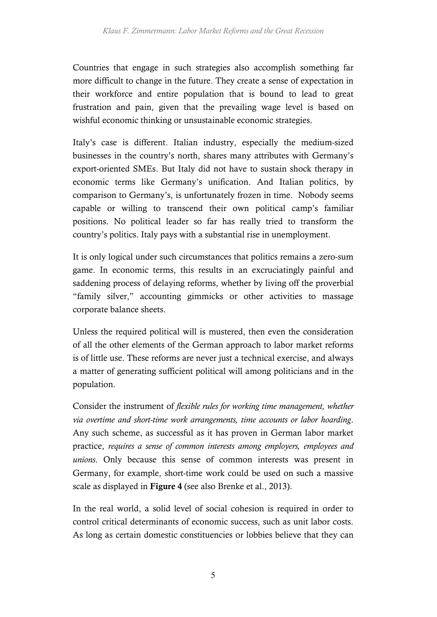Countries that engage in such strategies also accomplish something far more difficult to change in the future. They create a sense of expectation in their workforce and entire population that is bound to lead to great frustration and pain, given that the prevailing wage level is based on wishful economic thinking or unsustainable economic strategies.

Italy's case is different. Italian industry, especially the medium-sized businesses in the country's north, shares many attributes with Germany's export-oriented SMEs. But Italy did not have to sustain shock therapy in economic terms like Germany's unification. And Italian politics, by comparison to Germany's, is unfortunately frozen in time. Nobody seems capable or willing to transcend their own political camp's familiar positions. No political leader so far has really tried to transform the country's politics. Italy pays with a substantial rise in unemployment.

It is only logical under such circumstances that politics remains a zero-sum game. In economic terms, this results in an excruciatingly painful and saddening process of delaying reforms, whether by living off the proverbial "family silver," accounting gimmicks or other activities to massage corporate balance sheets.

Unless the required political will is mustered, then even the consideration of all the other elements of the German approach to labor market reforms is of little use. These reforms are never just a technical exercise, and always a matter of generating sufficient political will among politicians and in the population.

Consider the instrument of *flexible rules for working time management, whether via overtime and short-time work arrangements, time accounts or labor hoarding*. Any such scheme, as successful as it has proven in German labor market practice, *requires a sense of common interests among employers, employees and unions*. Only because this sense of common interests was present in Germany, for example, short-time work could be used on such a massive scale as displayed in Figure 4 (see also Brenke et al., 2013).

In the real world, a solid level of social cohesion is required in order to control critical determinants of economic success, such as unit labor costs. As long as certain domestic constituencies or lobbies believe that they can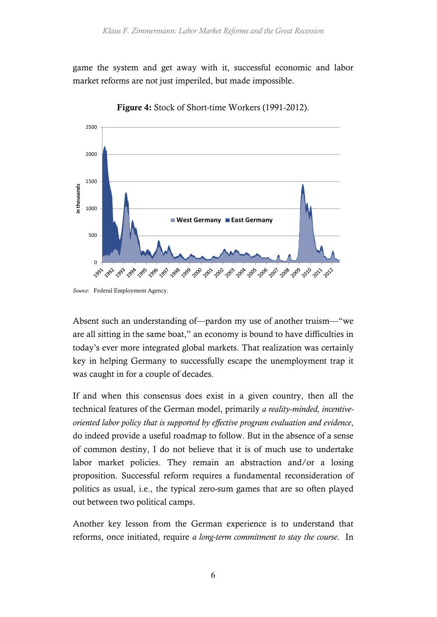game the system and get away with it, successful economic and labor market reforms are not just imperiled, but made impossible.



Figure 4: Stock of Short-time Workers (1991-2012).

Absent such an understanding of—pardon my use of another truism—"we are all sitting in the same boat," an economy is bound to have difficulties in today's ever more integrated global markets. That realization was certainly key in helping Germany to successfully escape the unemployment trap it was caught in for a couple of decades.

If and when this consensus does exist in a given country, then all the technical features of the German model, primarily *a reality-minded, incentiveoriented labor policy that is supported by effective program evaluation and evidence*, do indeed provide a useful roadmap to follow. But in the absence of a sense of common destiny, I do not believe that it is of much use to undertake labor market policies. They remain an abstraction and/or a losing proposition. Successful reform requires a fundamental reconsideration of politics as usual, i.e., the typical zero-sum games that are so often played out between two political camps.

Another key lesson from the German experience is to understand that reforms, once initiated, require *a long-term commitment to stay the course*. In

*Source:* Federal Employment Agency.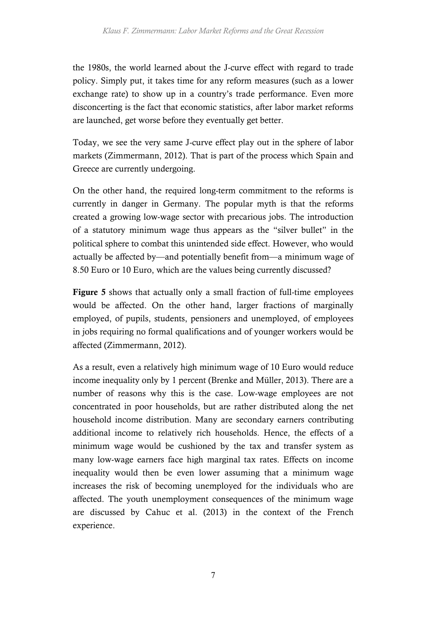the 1980s, the world learned about the J-curve effect with regard to trade policy. Simply put, it takes time for any reform measures (such as a lower exchange rate) to show up in a country's trade performance. Even more disconcerting is the fact that economic statistics, after labor market reforms are launched, get worse before they eventually get better.

Today, we see the very same J-curve effect play out in the sphere of labor markets (Zimmermann, 2012). That is part of the process which Spain and Greece are currently undergoing.

On the other hand, the required long-term commitment to the reforms is currently in danger in Germany. The popular myth is that the reforms created a growing low-wage sector with precarious jobs. The introduction of a statutory minimum wage thus appears as the "silver bullet" in the political sphere to combat this unintended side effect. However, who would actually be affected by—and potentially benefit from—a minimum wage of 8.50 Euro or 10 Euro, which are the values being currently discussed?

Figure 5 shows that actually only a small fraction of full-time employees would be affected. On the other hand, larger fractions of marginally employed, of pupils, students, pensioners and unemployed, of employees in jobs requiring no formal qualifications and of younger workers would be affected (Zimmermann, 2012).

As a result, even a relatively high minimum wage of 10 Euro would reduce income inequality only by 1 percent (Brenke and Müller, 2013). There are a number of reasons why this is the case. Low-wage employees are not concentrated in poor households, but are rather distributed along the net household income distribution. Many are secondary earners contributing additional income to relatively rich households. Hence, the effects of a minimum wage would be cushioned by the tax and transfer system as many low-wage earners face high marginal tax rates. Effects on income inequality would then be even lower assuming that a minimum wage increases the risk of becoming unemployed for the individuals who are affected. The youth unemployment consequences of the minimum wage are discussed by Cahuc et al. (2013) in the context of the French experience.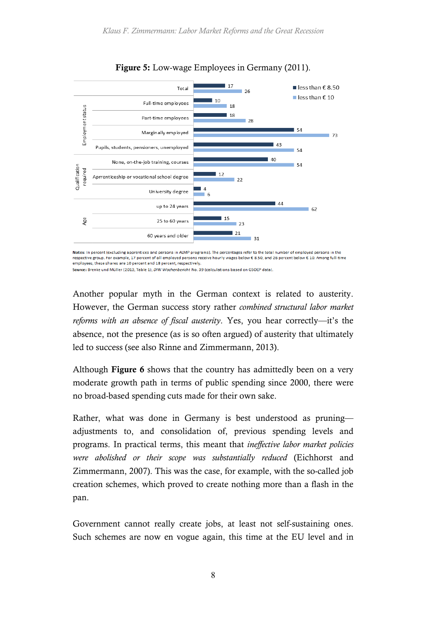

Figure 5: Low-wage Employees in Germany (2011).

Notes: In percent (excluding apprentices and persons in ALMP programs). The percentages refer to the total number of employed persons in the respective group. For example, 17 percent of all employed persons receive hourly wages below € 8.50, and 26 percent below € 10. Among full-time employees, these shares are 10 percent and 18 percent, respectively.

Source: Brenke und Müller (2013, Table 1), DIW Wochenbericht No. 39 (calculations based on GSOEP data)

Another popular myth in the German context is related to austerity. However, the German success story rather *combined structural labor market reforms with an absence of fiscal austerity*. Yes, you hear correctly—it's the absence, not the presence (as is so often argued) of austerity that ultimately led to success (see also Rinne and Zimmermann, 2013).

Although Figure 6 shows that the country has admittedly been on a very moderate growth path in terms of public spending since 2000, there were no broad-based spending cuts made for their own sake.

Rather, what was done in Germany is best understood as pruning adjustments to, and consolidation of, previous spending levels and programs. In practical terms, this meant that *ineffective labor market policies were abolished or their scope was substantially reduced* (Eichhorst and Zimmermann, 2007). This was the case, for example, with the so-called job creation schemes, which proved to create nothing more than a flash in the pan.

Government cannot really create jobs, at least not self-sustaining ones. Such schemes are now en vogue again, this time at the EU level and in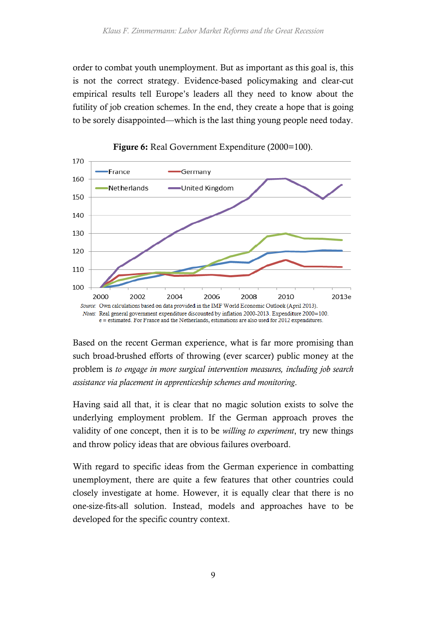order to combat youth unemployment. But as important as this goal is, this is not the correct strategy. Evidence-based policymaking and clear-cut empirical results tell Europe's leaders all they need to know about the futility of job creation schemes. In the end, they create a hope that is going to be sorely disappointed—which is the last thing young people need today.





Based on the recent German experience, what is far more promising than such broad-brushed efforts of throwing (ever scarcer) public money at the problem is *to engage in more surgical intervention measures, including job search assistance via placement in apprenticeship schemes and monitoring*.

Having said all that, it is clear that no magic solution exists to solve the underlying employment problem. If the German approach proves the validity of one concept, then it is to be *willing to experiment*, try new things and throw policy ideas that are obvious failures overboard.

With regard to specific ideas from the German experience in combatting unemployment, there are quite a few features that other countries could closely investigate at home. However, it is equally clear that there is no one-size-fits-all solution. Instead, models and approaches have to be developed for the specific country context.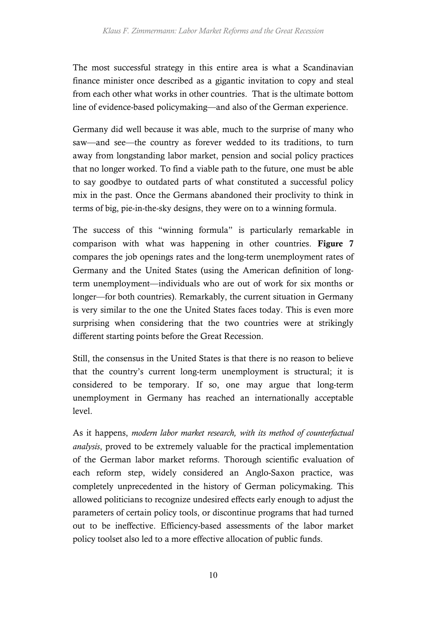The most successful strategy in this entire area is what a Scandinavian finance minister once described as a gigantic invitation to copy and steal from each other what works in other countries. That is the ultimate bottom line of evidence-based policymaking—and also of the German experience.

Germany did well because it was able, much to the surprise of many who saw—and see—the country as forever wedded to its traditions, to turn away from longstanding labor market, pension and social policy practices that no longer worked. To find a viable path to the future, one must be able to say goodbye to outdated parts of what constituted a successful policy mix in the past. Once the Germans abandoned their proclivity to think in terms of big, pie-in-the-sky designs, they were on to a winning formula.

The success of this "winning formula" is particularly remarkable in comparison with what was happening in other countries. Figure 7 compares the job openings rates and the long-term unemployment rates of Germany and the United States (using the American definition of longterm unemployment—individuals who are out of work for six months or longer—for both countries). Remarkably, the current situation in Germany is very similar to the one the United States faces today. This is even more surprising when considering that the two countries were at strikingly different starting points before the Great Recession.

Still, the consensus in the United States is that there is no reason to believe that the country's current long-term unemployment is structural; it is considered to be temporary. If so, one may argue that long-term unemployment in Germany has reached an internationally acceptable level.

As it happens, *modern labor market research, with its method of counterfactual analysis*, proved to be extremely valuable for the practical implementation of the German labor market reforms. Thorough scientific evaluation of each reform step, widely considered an Anglo-Saxon practice, was completely unprecedented in the history of German policymaking. This allowed politicians to recognize undesired effects early enough to adjust the parameters of certain policy tools, or discontinue programs that had turned out to be ineffective. Efficiency-based assessments of the labor market policy toolset also led to a more effective allocation of public funds.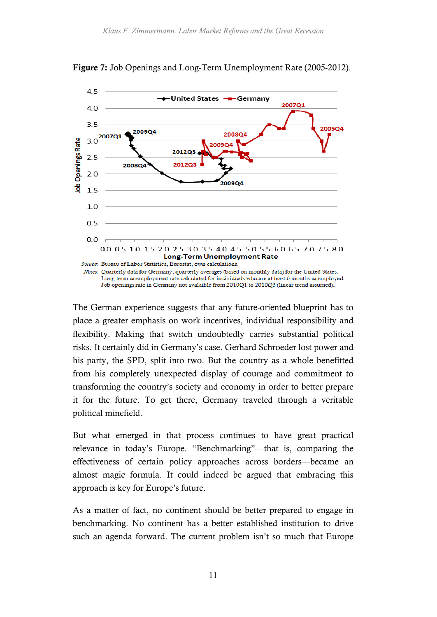

Figure 7: Job Openings and Long-Term Unemployment Rate (2005-2012).

The German experience suggests that any future-oriented blueprint has to place a greater emphasis on work incentives, individual responsibility and flexibility. Making that switch undoubtedly carries substantial political risks. It certainly did in Germany's case. Gerhard Schroeder lost power and his party, the SPD, split into two. But the country as a whole benefitted from his completely unexpected display of courage and commitment to transforming the country's society and economy in order to better prepare it for the future. To get there, Germany traveled through a veritable political minefield.

But what emerged in that process continues to have great practical relevance in today's Europe. "Benchmarking"—that is, comparing the effectiveness of certain policy approaches across borders—became an almost magic formula. It could indeed be argued that embracing this approach is key for Europe's future.

As a matter of fact, no continent should be better prepared to engage in benchmarking. No continent has a better established institution to drive such an agenda forward. The current problem isn't so much that Europe